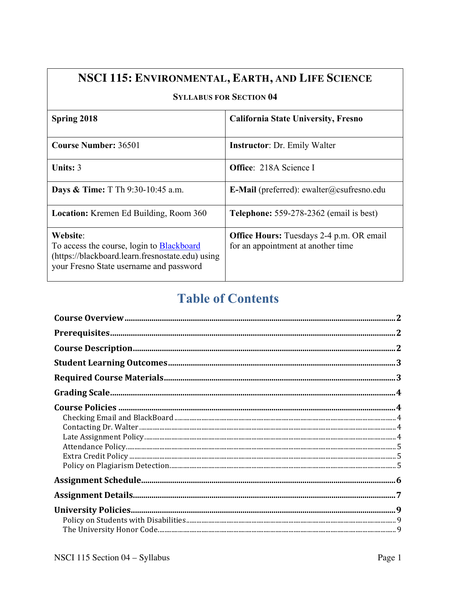### NSCI 115: ENVIRONMENTAL, EARTH, AND LIFE SCIENCE

#### **SYLLABUS FOR SECTION 04**

| <b>Spring 2018</b>                                                                                                                                   | <b>California State University, Fresno</b>                                            |
|------------------------------------------------------------------------------------------------------------------------------------------------------|---------------------------------------------------------------------------------------|
|                                                                                                                                                      |                                                                                       |
| <b>Course Number: 36501</b>                                                                                                                          | <b>Instructor: Dr. Emily Walter</b>                                                   |
| Units: $3$                                                                                                                                           | <b>Office:</b> 218A Science I                                                         |
| <b>Days &amp; Time:</b> T Th 9:30-10:45 a.m.                                                                                                         | <b>E-Mail</b> (preferred): ewalter@csufresno.edu                                      |
| <b>Location:</b> Kremen Ed Building, Room 360                                                                                                        | <b>Telephone:</b> 559-278-2362 (email is best)                                        |
| Website:<br>To access the course, login to Blackboard<br>(https://blackboard.learn.fresnostate.edu) using<br>your Fresno State username and password | <b>Office Hours:</b> Tuesdays 2-4 p.m. OR email<br>for an appointment at another time |

## **Table of Contents**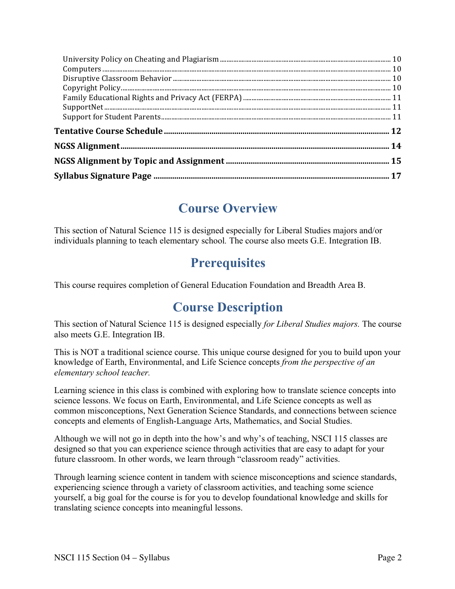| ${\large \bf Support Net.}\label{thm:main} {\small \bf 11}$ |  |
|-------------------------------------------------------------|--|
|                                                             |  |
|                                                             |  |
|                                                             |  |
|                                                             |  |
|                                                             |  |

## **Course Overview**

This section of Natural Science 115 is designed especially for Liberal Studies majors and/or individuals planning to teach elementary school*.* The course also meets G.E. Integration IB.

## **Prerequisites**

This course requires completion of General Education Foundation and Breadth Area B.

## **Course Description**

This section of Natural Science 115 is designed especially *for Liberal Studies majors.* The course also meets G.E. Integration IB.

This is NOT a traditional science course. This unique course designed for you to build upon your knowledge of Earth, Environmental, and Life Science concepts *from the perspective of an elementary school teacher.*

Learning science in this class is combined with exploring how to translate science concepts into science lessons. We focus on Earth, Environmental, and Life Science concepts as well as common misconceptions, Next Generation Science Standards, and connections between science concepts and elements of English-Language Arts, Mathematics, and Social Studies.

Although we will not go in depth into the how's and why's of teaching, NSCI 115 classes are designed so that you can experience science through activities that are easy to adapt for your future classroom. In other words, we learn through "classroom ready" activities.

Through learning science content in tandem with science misconceptions and science standards, experiencing science through a variety of classroom activities, and teaching some science yourself, a big goal for the course is for you to develop foundational knowledge and skills for translating science concepts into meaningful lessons.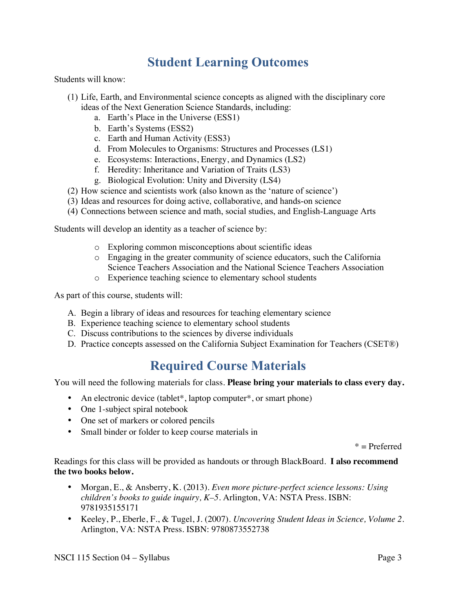### **Student Learning Outcomes**

Students will know:

- (1) Life, Earth, and Environmental science concepts as aligned with the disciplinary core ideas of the Next Generation Science Standards, including:
	- a. Earth's Place in the Universe (ESS1)
	- b. Earth's Systems (ESS2)
	- c. Earth and Human Activity (ESS3)
	- d. From Molecules to Organisms: Structures and Processes (LS1)
	- e. Ecosystems: Interactions, Energy, and Dynamics (LS2)
	- f. Heredity: Inheritance and Variation of Traits (LS3)
	- g. Biological Evolution: Unity and Diversity (LS4)
- (2) How science and scientists work (also known as the 'nature of science')
- (3) Ideas and resources for doing active, collaborative, and hands-on science
- (4) Connections between science and math, social studies, and English-Language Arts

Students will develop an identity as a teacher of science by:

- o Exploring common misconceptions about scientific ideas
- o Engaging in the greater community of science educators, such the California Science Teachers Association and the National Science Teachers Association
- o Experience teaching science to elementary school students

As part of this course, students will:

- A. Begin a library of ideas and resources for teaching elementary science
- B. Experience teaching science to elementary school students
- C. Discuss contributions to the sciences by diverse individuals
- D. Practice concepts assessed on the California Subject Examination for Teachers (CSET®)

## **Required Course Materials**

You will need the following materials for class. **Please bring your materials to class every day.** 

- An electronic device (tablet<sup>\*</sup>, laptop computer<sup>\*</sup>, or smart phone)
- One 1-subject spiral notebook
- One set of markers or colored pencils
- Small binder or folder to keep course materials in

 $*$  = Preferred

Readings for this class will be provided as handouts or through BlackBoard. **I also recommend the two books below.**

- Morgan, E., & Ansberry, K. (2013). *Even more picture-perfect science lessons: Using children's books to guide inquiry, K–5*. Arlington, VA: NSTA Press. ISBN: 9781935155171
- Keeley, P., Eberle, F., & Tugel, J. (2007). *Uncovering Student Ideas in Science, Volume 2.* Arlington, VA: NSTA Press. ISBN: 9780873552738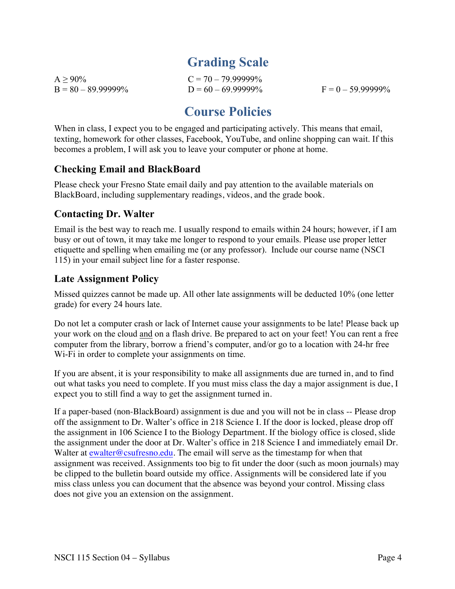## **Grading Scale**

 $A \ge 90\%$   $C = 70 - 79.99999\%$  $B = 80 - 89.999999\%$   $D = 60 - 69.999999\%$   $F = 0 - 59.999999\%$ 

## **Course Policies**

When in class, I expect you to be engaged and participating actively. This means that email, texting, homework for other classes, Facebook, YouTube, and online shopping can wait. If this becomes a problem, I will ask you to leave your computer or phone at home.

### **Checking Email and BlackBoard**

Please check your Fresno State email daily and pay attention to the available materials on BlackBoard, including supplementary readings, videos, and the grade book.

### **Contacting Dr. Walter**

Email is the best way to reach me. I usually respond to emails within 24 hours; however, if I am busy or out of town, it may take me longer to respond to your emails. Please use proper letter etiquette and spelling when emailing me (or any professor). Include our course name (NSCI 115) in your email subject line for a faster response.

### **Late Assignment Policy**

Missed quizzes cannot be made up. All other late assignments will be deducted 10% (one letter grade) for every 24 hours late.

Do not let a computer crash or lack of Internet cause your assignments to be late! Please back up your work on the cloud and on a flash drive. Be prepared to act on your feet! You can rent a free computer from the library, borrow a friend's computer, and/or go to a location with 24-hr free Wi-Fi in order to complete your assignments on time.

If you are absent, it is your responsibility to make all assignments due are turned in, and to find out what tasks you need to complete. If you must miss class the day a major assignment is due, I expect you to still find a way to get the assignment turned in.

If a paper-based (non-BlackBoard) assignment is due and you will not be in class -- Please drop off the assignment to Dr. Walter's office in 218 Science I. If the door is locked, please drop off the assignment in 106 Science I to the Biology Department. If the biology office is closed, slide the assignment under the door at Dr. Walter's office in 218 Science I and immediately email Dr. Walter at ewalter@csufresno.edu. The email will serve as the timestamp for when that assignment was received. Assignments too big to fit under the door (such as moon journals) may be clipped to the bulletin board outside my office. Assignments will be considered late if you miss class unless you can document that the absence was beyond your control. Missing class does not give you an extension on the assignment.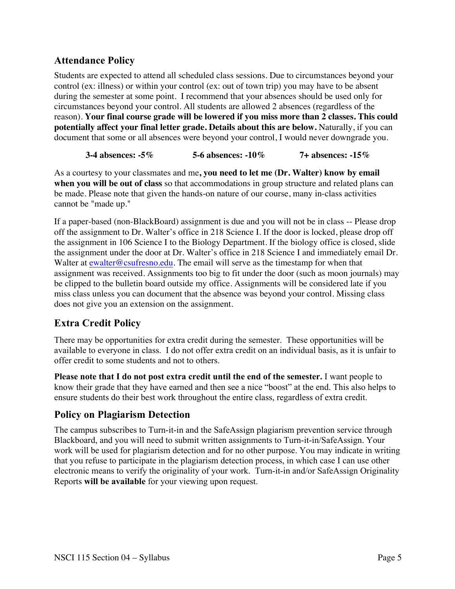### **Attendance Policy**

Students are expected to attend all scheduled class sessions. Due to circumstances beyond your control (ex: illness) or within your control (ex: out of town trip) you may have to be absent during the semester at some point. I recommend that your absences should be used only for circumstances beyond your control. All students are allowed 2 absences (regardless of the reason). **Your final course grade will be lowered if you miss more than 2 classes. This could potentially affect your final letter grade. Details about this are below.** Naturally, if you can document that some or all absences were beyond your control, I would never downgrade you.

#### **3-4 absences: -5% 5-6 absences: -10% 7+ absences: -15%**

As a courtesy to your classmates and me**, you need to let me (Dr. Walter) know by email when you will be out of class** so that accommodations in group structure and related plans can be made. Please note that given the hands-on nature of our course, many in-class activities cannot be "made up."

If a paper-based (non-BlackBoard) assignment is due and you will not be in class -- Please drop off the assignment to Dr. Walter's office in 218 Science I. If the door is locked, please drop off the assignment in 106 Science I to the Biology Department. If the biology office is closed, slide the assignment under the door at Dr. Walter's office in 218 Science I and immediately email Dr. Walter at ewalter@csufresno.edu. The email will serve as the timestamp for when that assignment was received. Assignments too big to fit under the door (such as moon journals) may be clipped to the bulletin board outside my office. Assignments will be considered late if you miss class unless you can document that the absence was beyond your control. Missing class does not give you an extension on the assignment.

### **Extra Credit Policy**

There may be opportunities for extra credit during the semester. These opportunities will be available to everyone in class. I do not offer extra credit on an individual basis, as it is unfair to offer credit to some students and not to others.

**Please note that I do not post extra credit until the end of the semester.** I want people to know their grade that they have earned and then see a nice "boost" at the end. This also helps to ensure students do their best work throughout the entire class, regardless of extra credit.

### **Policy on Plagiarism Detection**

The campus subscribes to Turn-it-in and the SafeAssign plagiarism prevention service through Blackboard, and you will need to submit written assignments to Turn-it-in/SafeAssign. Your work will be used for plagiarism detection and for no other purpose. You may indicate in writing that you refuse to participate in the plagiarism detection process, in which case I can use other electronic means to verify the originality of your work. Turn-it-in and/or SafeAssign Originality Reports **will be available** for your viewing upon request.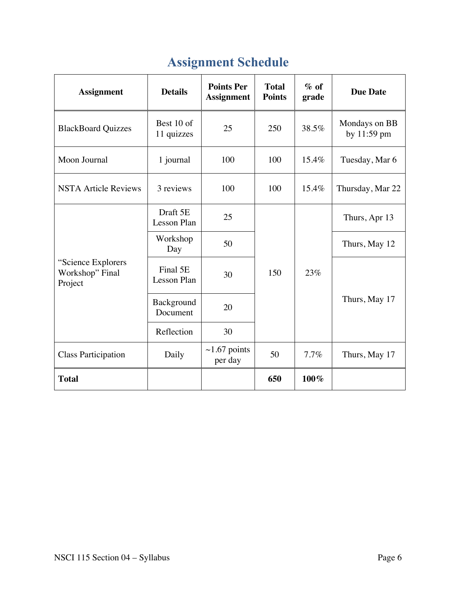| <b>Assignment</b>                                | <b>Details</b>                 | <b>Points Per</b><br><b>Assignment</b> | <b>Total</b><br><b>Points</b> | $\%$ of<br>grade | <b>Due Date</b>              |
|--------------------------------------------------|--------------------------------|----------------------------------------|-------------------------------|------------------|------------------------------|
| <b>BlackBoard Quizzes</b>                        | Best 10 of<br>11 quizzes       | 25                                     | 250                           | 38.5%            | Mondays on BB<br>by 11:59 pm |
| Moon Journal                                     | 1 journal                      | 100                                    | 100                           | 15.4%            | Tuesday, Mar 6               |
| <b>NSTA Article Reviews</b>                      | 3 reviews                      | 100<br>100<br>15.4%                    |                               | Thursday, Mar 22 |                              |
|                                                  | Draft 5E<br><b>Lesson Plan</b> | 25                                     |                               |                  | Thurs, Apr 13                |
|                                                  | Workshop<br>Day                | 50                                     |                               |                  | Thurs, May 12                |
| "Science Explorers<br>Workshop" Final<br>Project | Final 5E<br><b>Lesson Plan</b> | 30                                     | 150                           | 23%              |                              |
|                                                  | Background<br>Document         | 20                                     |                               |                  | Thurs, May 17                |
|                                                  | Reflection                     | 30                                     |                               |                  |                              |
| <b>Class Participation</b>                       | Daily                          | $\sim$ 1.67 points<br>per day          | 50                            | 7.7%             | Thurs, May 17                |
| <b>Total</b>                                     |                                |                                        | 650                           | 100%             |                              |

# **Assignment Schedule**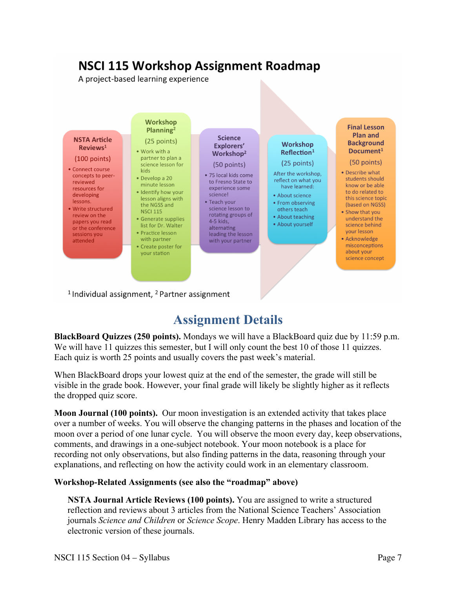## **NSCI 115 Workshop Assignment Roadmap**

A project-based learning experience



<sup>1</sup> Individual assignment,  $^2$  Partner assignment

## **Assignment Details**

**BlackBoard Quizzes (250 points).** Mondays we will have a BlackBoard quiz due by 11:59 p.m. We will have 11 quizzes this semester, but I will only count the best 10 of those 11 quizzes. Each quiz is worth 25 points and usually covers the past week's material.

When BlackBoard drops your lowest quiz at the end of the semester, the grade will still be visible in the grade book. However, your final grade will likely be slightly higher as it reflects the dropped quiz score.

**Moon Journal (100 points).** Our moon investigation is an extended activity that takes place over a number of weeks. You will observe the changing patterns in the phases and location of the moon over a period of one lunar cycle. You will observe the moon every day, keep observations, comments, and drawings in a one-subject notebook. Your moon notebook is a place for recording not only observations, but also finding patterns in the data, reasoning through your explanations, and reflecting on how the activity could work in an elementary classroom.

#### **Workshop-Related Assignments (see also the "roadmap" above)**

**NSTA Journal Article Reviews (100 points).** You are assigned to write a structured reflection and reviews about 3 articles from the National Science Teachers' Association journals *Science and Children* or *Science Scope*. Henry Madden Library has access to the electronic version of these journals.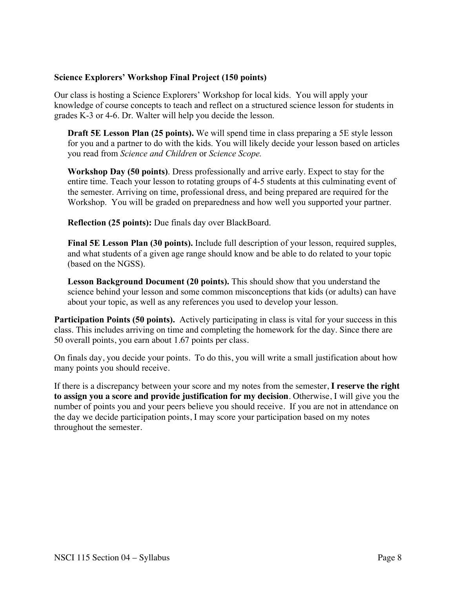#### **Science Explorers' Workshop Final Project (150 points)**

Our class is hosting a Science Explorers' Workshop for local kids. You will apply your knowledge of course concepts to teach and reflect on a structured science lesson for students in grades K-3 or 4-6. Dr. Walter will help you decide the lesson.

**Draft 5E Lesson Plan (25 points).** We will spend time in class preparing a 5E style lesson for you and a partner to do with the kids. You will likely decide your lesson based on articles you read from *Science and Children* or *Science Scope.*

**Workshop Day (50 points)**. Dress professionally and arrive early. Expect to stay for the entire time. Teach your lesson to rotating groups of 4-5 students at this culminating event of the semester. Arriving on time, professional dress, and being prepared are required for the Workshop. You will be graded on preparedness and how well you supported your partner.

**Reflection (25 points):** Due finals day over BlackBoard.

**Final 5E Lesson Plan (30 points).** Include full description of your lesson, required supples, and what students of a given age range should know and be able to do related to your topic (based on the NGSS).

**Lesson Background Document (20 points).** This should show that you understand the science behind your lesson and some common misconceptions that kids (or adults) can have about your topic, as well as any references you used to develop your lesson.

**Participation Points (50 points).** Actively participating in class is vital for your success in this class. This includes arriving on time and completing the homework for the day. Since there are 50 overall points, you earn about 1.67 points per class.

On finals day, you decide your points. To do this, you will write a small justification about how many points you should receive.

If there is a discrepancy between your score and my notes from the semester, **I reserve the right to assign you a score and provide justification for my decision**. Otherwise, I will give you the number of points you and your peers believe you should receive. If you are not in attendance on the day we decide participation points, I may score your participation based on my notes throughout the semester.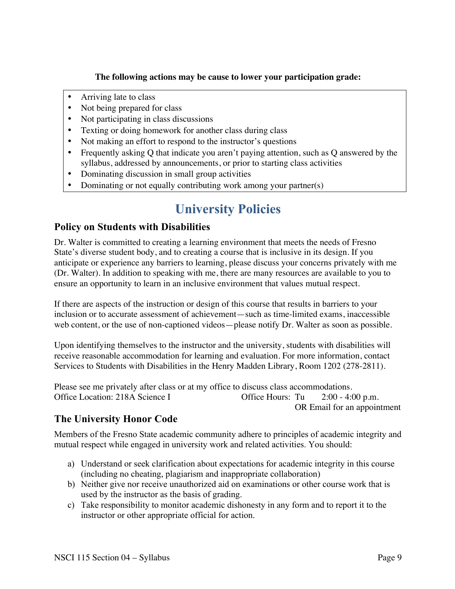#### **The following actions may be cause to lower your participation grade:**

- Arriving late to class
- Not being prepared for class
- Not participating in class discussions
- Texting or doing homework for another class during class
- Not making an effort to respond to the instructor's questions
- Frequently asking Q that indicate you aren't paying attention, such as Q answered by the syllabus, addressed by announcements, or prior to starting class activities
- Dominating discussion in small group activities
- Dominating or not equally contributing work among your partner(s)

## **University Policies**

### **Policy on Students with Disabilities**

Dr. Walter is committed to creating a learning environment that meets the needs of Fresno State's diverse student body, and to creating a course that is inclusive in its design. If you anticipate or experience any barriers to learning, please discuss your concerns privately with me (Dr. Walter). In addition to speaking with me, there are many resources are available to you to ensure an opportunity to learn in an inclusive environment that values mutual respect.

If there are aspects of the instruction or design of this course that results in barriers to your inclusion or to accurate assessment of achievement—such as time-limited exams, inaccessible web content, or the use of non-captioned videos—please notify Dr. Walter as soon as possible.

Upon identifying themselves to the instructor and the university, students with disabilities will receive reasonable accommodation for learning and evaluation. For more information, contact Services to Students with Disabilities in the Henry Madden Library, Room 1202 (278-2811).

Please see me privately after class or at my office to discuss class accommodations. Office Location: 218A Science I Office Hours: Tu 2:00 - 4:00 p.m. OR Email for an appointment

### **The University Honor Code**

Members of the Fresno State academic community adhere to principles of academic integrity and mutual respect while engaged in university work and related activities. You should:

- a) Understand or seek clarification about expectations for academic integrity in this course (including no cheating, plagiarism and inappropriate collaboration)
- b) Neither give nor receive unauthorized aid on examinations or other course work that is used by the instructor as the basis of grading.
- c) Take responsibility to monitor academic dishonesty in any form and to report it to the instructor or other appropriate official for action.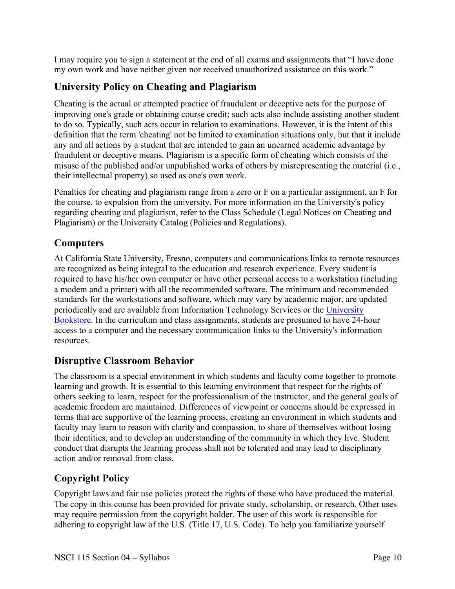I may require you to sign a statement at the end of all exams and assignments that "I have done my own work and have neither given nor received unauthorized assistance on this work."

### **University Policy on Cheating and Plagiarism**

Cheating is the actual or attempted practice of fraudulent or deceptive acts for the purpose of improving one's grade or obtaining course credit; such acts also include assisting another student to do so. Typically, such acts occur in relation to examinations. However, it is the intent of this definition that the term 'cheating' not be limited to examination situations only, but that it include any and all actions by a student that are intended to gain an unearned academic advantage by fraudulent or deceptive means. Plagiarism is a specific form of cheating which consists of the misuse of the published and/or unpublished works of others by misrepresenting the material (i.e., their intellectual property) so used as one's own work.

Penalties for cheating and plagiarism range from a zero or F on a particular assignment, an F for the course, to expulsion from the university. For more information on the University's policy regarding cheating and plagiarism, refer to the Class Schedule (Legal Notices on Cheating and Plagiarism) or the University Catalog (Policies and Regulations).

### **Computers**

At California State University, Fresno, computers and communications links to remote resources are recognized as being integral to the education and research experience. Every student is required to have his/her own computer or have other personal access to a workstation (including a modem and a printer) with all the recommended software. The minimum and recommended standards for the workstations and software, which may vary by academic major, are updated periodically and are available from Information Technology Services or the University Bookstore. In the curriculum and class assignments, students are presumed to have 24-hour access to a computer and the necessary communication links to the University's information resources.

### **Disruptive Classroom Behavior**

The classroom is a special environment in which students and faculty come together to promote learning and growth. It is essential to this learning environment that respect for the rights of others seeking to learn, respect for the professionalism of the instructor, and the general goals of academic freedom are maintained. Differences of viewpoint or concerns should be expressed in terms that are supportive of the learning process, creating an environment in which students and faculty may learn to reason with clarity and compassion, to share of themselves without losing their identities, and to develop an understanding of the community in which they live. Student conduct that disrupts the learning process shall not be tolerated and may lead to disciplinary action and/or removal from class.

### **Copyright Policy**

Copyright laws and fair use policies protect the rights of those who have produced the material. The copy in this course has been provided for private study, scholarship, or research. Other uses may require permission from the copyright holder. The user of this work is responsible for adhering to copyright law of the U.S. (Title 17, U.S. Code). To help you familiarize yourself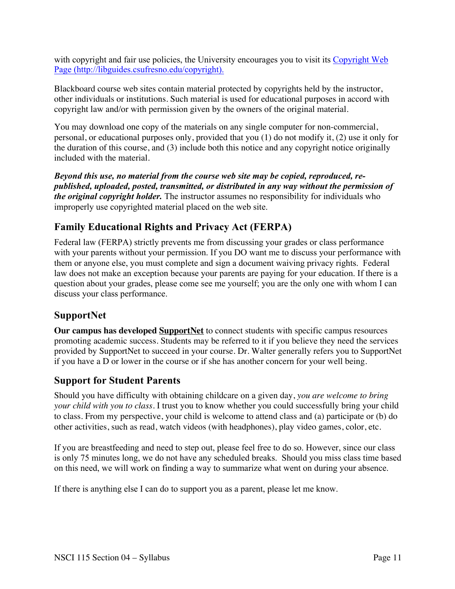with copyright and fair use policies, the University encourages you to visit its Copyright Web Page (http://libguides.csufresno.edu/copyright).

Blackboard course web sites contain material protected by copyrights held by the instructor, other individuals or institutions. Such material is used for educational purposes in accord with copyright law and/or with permission given by the owners of the original material.

You may download one copy of the materials on any single computer for non-commercial, personal, or educational purposes only, provided that you (1) do not modify it, (2) use it only for the duration of this course, and (3) include both this notice and any copyright notice originally included with the material.

*Beyond this use, no material from the course web site may be copied, reproduced, republished, uploaded, posted, transmitted, or distributed in any way without the permission of the original copyright holder.* The instructor assumes no responsibility for individuals who improperly use copyrighted material placed on the web site.

### **Family Educational Rights and Privacy Act (FERPA)**

Federal law (FERPA) strictly prevents me from discussing your grades or class performance with your parents without your permission. If you DO want me to discuss your performance with them or anyone else, you must complete and sign a document waiving privacy rights. Federal law does not make an exception because your parents are paying for your education. If there is a question about your grades, please come see me yourself; you are the only one with whom I can discuss your class performance.

### **SupportNet**

**Our campus has developed SupportNet** to connect students with specific campus resources promoting academic success. Students may be referred to it if you believe they need the services provided by SupportNet to succeed in your course. Dr. Walter generally refers you to SupportNet if you have a D or lower in the course or if she has another concern for your well being.

### **Support for Student Parents**

Should you have difficulty with obtaining childcare on a given day, *you are welcome to bring your child with you to class*. I trust you to know whether you could successfully bring your child to class. From my perspective, your child is welcome to attend class and (a) participate or (b) do other activities, such as read, watch videos (with headphones), play video games, color, etc.

If you are breastfeeding and need to step out, please feel free to do so. However, since our class is only 75 minutes long, we do not have any scheduled breaks. Should you miss class time based on this need, we will work on finding a way to summarize what went on during your absence.

If there is anything else I can do to support you as a parent, please let me know.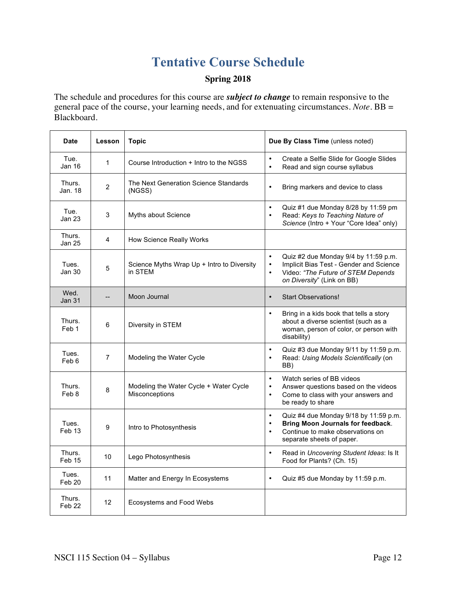## **Tentative Course Schedule**

### **Spring 2018**

The schedule and procedures for this course are *subject to change* to remain responsive to the general pace of the course, your learning needs, and for extenuating circumstances. *Note.* BB = Blackboard.

| <b>Date</b>                 | Lesson         | <b>Topic</b>                                             | Due By Class Time (unless noted)                                                                                                                                                           |
|-----------------------------|----------------|----------------------------------------------------------|--------------------------------------------------------------------------------------------------------------------------------------------------------------------------------------------|
| Tue.<br><b>Jan 16</b>       | 1              | Course Introduction + Intro to the NGSS                  | $\bullet$<br>Create a Selfie Slide for Google Slides<br>Read and sign course syllabus<br>$\bullet$                                                                                         |
| Thurs.<br>Jan. 18           | $\overline{2}$ | The Next Generation Science Standards<br>(NGSS)          | Bring markers and device to class<br>$\bullet$                                                                                                                                             |
| Tue.<br><b>Jan 23</b>       | 3              | Myths about Science                                      | Quiz #1 due Monday 8/28 by 11:59 pm<br>$\bullet$<br>Read: Keys to Teaching Nature of<br>$\bullet$<br>Science (Intro + Your "Core Idea" only)                                               |
| Thurs.<br>Jan 25            | 4              | How Science Really Works                                 |                                                                                                                                                                                            |
| Tues.<br>Jan 30             | 5              | Science Myths Wrap Up + Intro to Diversity<br>in STEM    | $\bullet$<br>Quiz #2 due Monday 9/4 by 11:59 p.m.<br>Implicit Bias Test - Gender and Science<br>$\bullet$<br>Video: "The Future of STEM Depends<br>$\bullet$<br>on Diversity" (Link on BB) |
| Wed.<br><b>Jan 31</b>       | --             | Moon Journal                                             | <b>Start Observations!</b><br>$\bullet$                                                                                                                                                    |
| Thurs.<br>Feb 1             | 6              | Diversity in STEM                                        | Bring in a kids book that tells a story<br>$\bullet$<br>about a diverse scientist (such as a<br>woman, person of color, or person with<br>disability)                                      |
| Tues.<br>Feb 6              | $\overline{7}$ | Modeling the Water Cycle                                 | Quiz #3 due Monday 9/11 by 11:59 p.m.<br>$\bullet$<br>Read: Using Models Scientifically (on<br>$\bullet$<br>BB)                                                                            |
| Thurs.<br>Feb 8             | 8              | Modeling the Water Cycle + Water Cycle<br>Misconceptions | Watch series of BB videos<br>$\bullet$<br>Answer questions based on the videos<br>$\bullet$<br>Come to class with your answers and<br>$\bullet$<br>be ready to share                       |
| Tues.<br>Feb 13             | 9              | Intro to Photosynthesis                                  | Quiz #4 due Monday 9/18 by 11:59 p.m.<br>$\bullet$<br><b>Bring Moon Journals for feedback.</b><br>$\bullet$<br>Continue to make observations on<br>$\bullet$<br>separate sheets of paper.  |
| Thurs.<br>Feb 15            | 10             | Lego Photosynthesis                                      | Read in Uncovering Student Ideas: Is It<br>$\bullet$<br>Food for Plants? (Ch. 15)                                                                                                          |
| Tues.<br>Feb 20             | 11             | Matter and Energy In Ecosystems                          | Quiz #5 due Monday by 11:59 p.m.<br>$\bullet$                                                                                                                                              |
| Thurs.<br>Feb <sub>22</sub> | 12             | Ecosystems and Food Webs                                 |                                                                                                                                                                                            |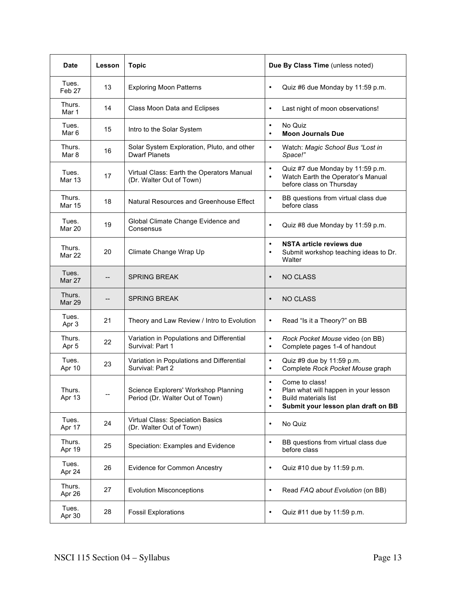| <b>Date</b>             | Lesson | <b>Topic</b>                                                            | Due By Class Time (unless noted)                                                                                                                                                 |  |
|-------------------------|--------|-------------------------------------------------------------------------|----------------------------------------------------------------------------------------------------------------------------------------------------------------------------------|--|
| Tues.<br>Feb 27         | 13     | <b>Exploring Moon Patterns</b>                                          | $\bullet$<br>Quiz #6 due Monday by 11:59 p.m.                                                                                                                                    |  |
| Thurs.<br>Mar 1         | 14     | Class Moon Data and Eclipses                                            | Last night of moon observations!<br>$\bullet$                                                                                                                                    |  |
| Tues.<br>Mar 6          | 15     | Intro to the Solar System                                               | No Quiz<br>$\bullet$<br><b>Moon Journals Due</b><br>$\bullet$                                                                                                                    |  |
| Thurs.<br>Mar 8         | 16     | Solar System Exploration, Pluto, and other<br><b>Dwarf Planets</b>      | Watch: Magic School Bus "Lost in<br>$\bullet$<br>Space!"                                                                                                                         |  |
| Tues.<br>Mar 13         | 17     | Virtual Class: Earth the Operators Manual<br>(Dr. Walter Out of Town)   | Quiz #7 due Monday by 11:59 p.m.<br>$\bullet$<br>Watch Earth the Operator's Manual<br>$\bullet$<br>before class on Thursday                                                      |  |
| Thurs.<br><b>Mar 15</b> | 18     | Natural Resources and Greenhouse Effect                                 | BB questions from virtual class due<br>٠<br>before class                                                                                                                         |  |
| Tues.<br>Mar 20         | 19     | Global Climate Change Evidence and<br>Consensus                         | Quiz #8 due Monday by 11:59 p.m.<br>$\bullet$                                                                                                                                    |  |
| Thurs.<br>Mar 22        | 20     | Climate Change Wrap Up                                                  | NSTA article reviews due<br>$\bullet$<br>Submit workshop teaching ideas to Dr.<br>$\bullet$<br>Walter                                                                            |  |
| Tues.<br>Mar 27         |        | <b>SPRING BREAK</b>                                                     | <b>NO CLASS</b><br>$\bullet$                                                                                                                                                     |  |
| Thurs.<br>Mar 29        | --     | <b>SPRING BREAK</b>                                                     | <b>NO CLASS</b><br>$\bullet$                                                                                                                                                     |  |
| Tues.<br>Apr 3          | 21     | Theory and Law Review / Intro to Evolution                              | Read "Is it a Theory?" on BB<br>$\bullet$                                                                                                                                        |  |
| Thurs.<br>Apr 5         | 22     | Variation in Populations and Differential<br>Survival: Part 1           | Rock Pocket Mouse video (on BB)<br>$\bullet$<br>Complete pages 1-4 of handout<br>$\bullet$                                                                                       |  |
| Tues.<br>Apr 10         | 23     | Variation in Populations and Differential<br>Survival: Part 2           | Quiz #9 due by 11:59 p.m.<br>$\bullet$<br>Complete Rock Pocket Mouse graph<br>$\bullet$                                                                                          |  |
| Thurs.<br>Apr 13        | --     | Science Explorers' Workshop Planning<br>Period (Dr. Walter Out of Town) | Come to class!<br>$\bullet$<br>Plan what will happen in your lesson<br>$\bullet$<br><b>Build materials list</b><br>$\bullet$<br>Submit your lesson plan draft on BB<br>$\bullet$ |  |
| Tues.<br>Apr 17         | 24     | Virtual Class: Speciation Basics<br>(Dr. Walter Out of Town)            | No Quiz<br>$\bullet$                                                                                                                                                             |  |
| Thurs.<br>Apr 19        | 25     | Speciation: Examples and Evidence                                       | BB questions from virtual class due<br>$\bullet$<br>before class                                                                                                                 |  |
| Tues.<br>Apr 24         | 26     | <b>Evidence for Common Ancestry</b>                                     | Quiz #10 due by 11:59 p.m.<br>$\bullet$                                                                                                                                          |  |
| Thurs.<br>Apr 26        | 27     | <b>Evolution Misconceptions</b>                                         | Read FAQ about Evolution (on BB)<br>$\bullet$                                                                                                                                    |  |
| Tues.<br>Apr 30         | 28     | <b>Fossil Explorations</b>                                              | Quiz #11 due by 11:59 p.m.<br>$\bullet$                                                                                                                                          |  |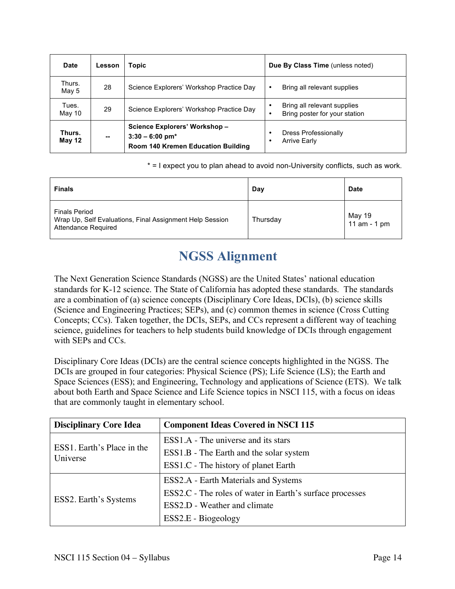| Date             | Lesson | <b>Topic</b>                                                                                        | Due By Class Time (unless noted)                                  |  |
|------------------|--------|-----------------------------------------------------------------------------------------------------|-------------------------------------------------------------------|--|
| Thurs.<br>May 5  | 28     | Science Explorers' Workshop Practice Day                                                            | Bring all relevant supplies<br>٠                                  |  |
| Tues.<br>May 10  | 29     | Science Explorers' Workshop Practice Day                                                            | Bring all relevant supplies<br>Bring poster for your station<br>٠ |  |
| Thurs.<br>May 12 | --     | Science Explorers' Workshop-<br>$3:30 - 6:00$ pm <sup>*</sup><br>Room 140 Kremen Education Building | <b>Dress Professionally</b><br><b>Arrive Early</b><br>٠           |  |

\* = I expect you to plan ahead to avoid non-University conflicts, such as work.

| <b>Finals</b>                                                                                                  | Day      | <b>Date</b>            |
|----------------------------------------------------------------------------------------------------------------|----------|------------------------|
| <b>Finals Period</b><br>Wrap Up, Self Evaluations, Final Assignment Help Session<br><b>Attendance Required</b> | Thursday | May 19<br>11 am - 1 pm |

## **NGSS Alignment**

The Next Generation Science Standards (NGSS) are the United States' national education standards for K-12 science. The State of California has adopted these standards. The standards are a combination of (a) science concepts (Disciplinary Core Ideas, DCIs), (b) science skills (Science and Engineering Practices; SEPs), and (c) common themes in science (Cross Cutting Concepts; CCs). Taken together, the DCIs, SEPs, and CCs represent a different way of teaching science, guidelines for teachers to help students build knowledge of DCIs through engagement with SEPs and CCs.

Disciplinary Core Ideas (DCIs) are the central science concepts highlighted in the NGSS. The DCIs are grouped in four categories: Physical Science (PS); Life Science (LS); the Earth and Space Sciences (ESS); and Engineering, Technology and applications of Science (ETS). We talk about both Earth and Space Science and Life Science topics in NSCI 115, with a focus on ideas that are commonly taught in elementary school.

| <b>Disciplinary Core Idea</b>          | <b>Component Ideas Covered in NSCI 115</b>               |  |  |
|----------------------------------------|----------------------------------------------------------|--|--|
|                                        | ESS1.A - The universe and its stars                      |  |  |
| ESS1. Earth's Place in the<br>Universe | ESS1.B - The Earth and the solar system                  |  |  |
|                                        | ESS1.C - The history of planet Earth                     |  |  |
|                                        | ESS2.A - Earth Materials and Systems                     |  |  |
|                                        | ESS2.C - The roles of water in Earth's surface processes |  |  |
| ESS2. Earth's Systems                  | ESS2.D - Weather and climate                             |  |  |
|                                        | ESS2.E - Biogeology                                      |  |  |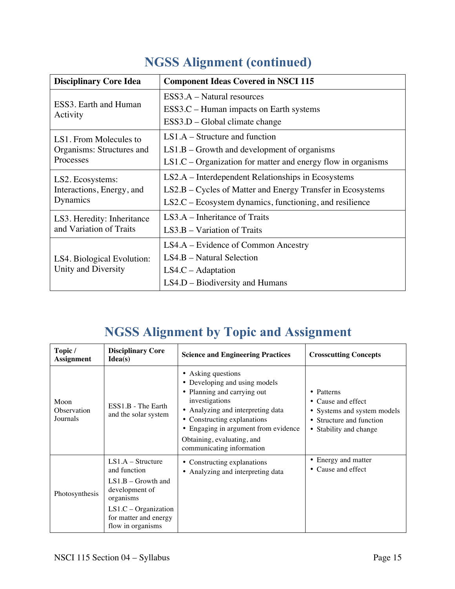| <b>Disciplinary Core Idea</b>     | <b>Component Ideas Covered in NSCI 115</b>                     |  |
|-----------------------------------|----------------------------------------------------------------|--|
|                                   | $ESS3.A - Natural resources$                                   |  |
| ESS3. Earth and Human<br>Activity | ESS3.C – Human impacts on Earth systems                        |  |
|                                   | ESS3.D – Global climate change                                 |  |
| LS1. From Molecules to            | $LS1.A - Structure$ and function                               |  |
| Organisms: Structures and         | $LS1.B - Growth$ and development of organisms                  |  |
| Processes                         | $LS1.C - Organization$ for matter and energy flow in organisms |  |
| LS2. Ecosystems:                  | LS2.A – Interdependent Relationships in Ecosystems             |  |
| Interactions, Energy, and         | LS2.B – Cycles of Matter and Energy Transfer in Ecosystems     |  |
| Dynamics                          | $LS2.C - Ecosystem dynamics, functioning, and resilience$      |  |
| LS3. Heredity: Inheritance        | $LS3.A$ – Inheritance of Traits                                |  |
| and Variation of Traits           | $LS3.B - Variation$ of Traits                                  |  |
|                                   | LS4.A – Evidence of Common Ancestry                            |  |
| LS4. Biological Evolution:        | LS4.B – Natural Selection                                      |  |
| Unity and Diversity               | $LS4.C - Adaptation$                                           |  |
|                                   | $LS4.D - Biodiversity$ and Humans                              |  |

## **NGSS Alignment (continued)**

## **NGSS Alignment by Topic and Assignment**

| Topic /<br><b>Assignment</b>    | <b>Disciplinary Core</b><br>Idea(s)                                                                                                                                | <b>Science and Engineering Practices</b>                                                                                                                                                                                                                                    | <b>Crosscutting Concepts</b>                                                                                          |
|---------------------------------|--------------------------------------------------------------------------------------------------------------------------------------------------------------------|-----------------------------------------------------------------------------------------------------------------------------------------------------------------------------------------------------------------------------------------------------------------------------|-----------------------------------------------------------------------------------------------------------------------|
| Moon<br>Observation<br>Journals | ESS1.B - The Earth<br>and the solar system                                                                                                                         | • Asking questions<br>• Developing and using models<br>• Planning and carrying out<br>investigations<br>• Analyzing and interpreting data<br>• Constructing explanations<br>• Engaging in argument from evidence<br>Obtaining, evaluating, and<br>communicating information | • Patterns<br>• Cause and effect<br>• Systems and system models<br>• Structure and function<br>• Stability and change |
| Photosynthesis                  | $LS1.A - Structure$<br>and function<br>$LS1.B - Growth$ and<br>development of<br>organisms<br>$LS1.C - Organization$<br>for matter and energy<br>flow in organisms | • Constructing explanations<br>• Analyzing and interpreting data                                                                                                                                                                                                            | • Energy and matter<br>• Cause and effect                                                                             |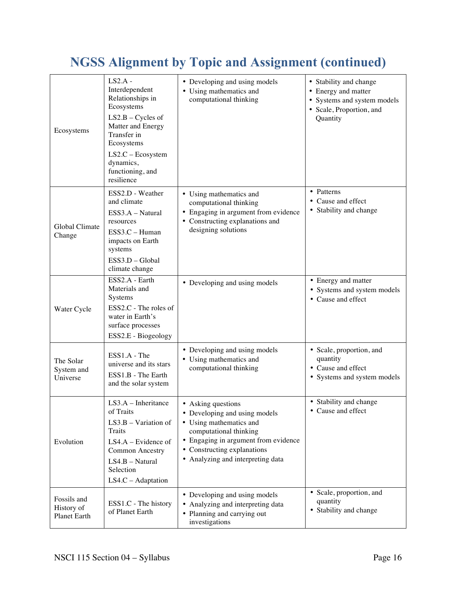## **NGSS Alignment by Topic and Assignment (continued)**

| Ecosystems                                | $LS2.A$ -<br>Interdependent<br>Relationships in<br>Ecosystems<br>$LS2.B - Cycles of$<br>Matter and Energy<br>Transfer in<br>Ecosystems<br>$LS2.C - Ecosystem$<br>dynamics,<br>functioning, and<br>resilience | • Developing and using models<br>• Using mathematics and<br>computational thinking                                                                                                                                   | • Stability and change<br>• Energy and matter<br>• Systems and system models<br>• Scale, Proportion, and<br>Quantity |
|-------------------------------------------|--------------------------------------------------------------------------------------------------------------------------------------------------------------------------------------------------------------|----------------------------------------------------------------------------------------------------------------------------------------------------------------------------------------------------------------------|----------------------------------------------------------------------------------------------------------------------|
| Global Climate<br>Change                  | ESS2.D - Weather<br>and climate<br>ESS3.A - Natural<br>resources<br>ESS3.C - Human<br>impacts on Earth<br>systems<br>ESS3.D - Global<br>climate change                                                       | • Using mathematics and<br>computational thinking<br>• Engaging in argument from evidence<br>• Constructing explanations and<br>designing solutions                                                                  | • Patterns<br>• Cause and effect<br>• Stability and change                                                           |
| Water Cycle                               | ESS2.A - Earth<br>Materials and<br>Systems<br>ESS2.C - The roles of<br>water in Earth's<br>surface processes<br>ESS2.E - Biogeology                                                                          | • Developing and using models                                                                                                                                                                                        | • Energy and matter<br>• Systems and system models<br>• Cause and effect                                             |
| The Solar<br>System and<br>Universe       | ESS1.A - The<br>universe and its stars<br>ESS1.B - The Earth<br>and the solar system                                                                                                                         | • Developing and using models<br>• Using mathematics and<br>computational thinking                                                                                                                                   | · Scale, proportion, and<br>quantity<br>• Cause and effect<br>• Systems and system models                            |
| Evolution                                 | $LS3.A - Inheritance$<br>of Traits<br>$LS3.B - Variation of$<br>Traits<br>$LS4.A - Evidence of$<br><b>Common Ancestry</b><br>LS4.B - Natural<br>Selection<br>LS4.C - Adaptation                              | • Asking questions<br>• Developing and using models<br>• Using mathematics and<br>computational thinking<br>• Engaging in argument from evidence<br>• Constructing explanations<br>• Analyzing and interpreting data | • Stability and change<br>• Cause and effect                                                                         |
| Fossils and<br>History of<br>Planet Earth | ESS1.C - The history<br>of Planet Earth                                                                                                                                                                      | • Developing and using models<br>• Analyzing and interpreting data<br>• Planning and carrying out<br>investigations                                                                                                  | • Scale, proportion, and<br>quantity<br>• Stability and change                                                       |